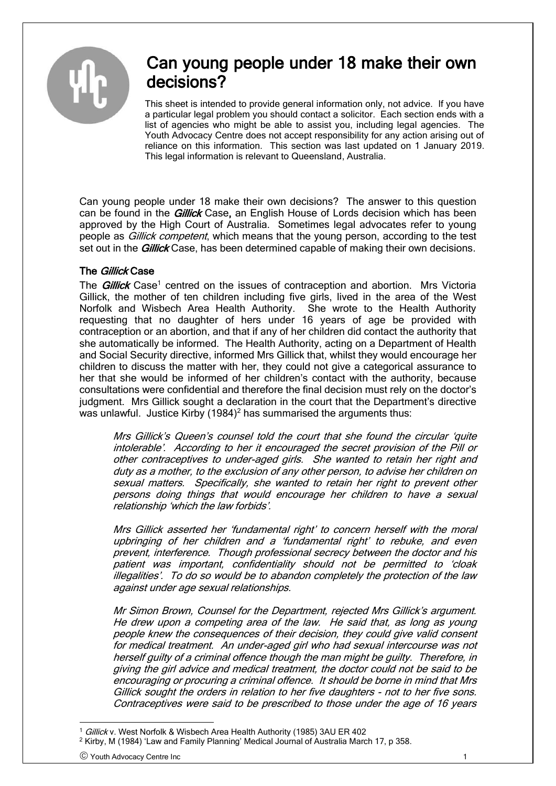

## Can young people under 18 make their own decisions?

This sheet is intended to provide general information only, not advice. If you have a particular legal problem you should contact a solicitor. Each section ends with a list of agencies who might be able to assist you, including legal agencies. The Youth Advocacy Centre does not accept responsibility for any action arising out of reliance on this information. This section was last updated on 1 January 2019. This legal information is relevant to Queensland, Australia.

Can young people under 18 make their own decisions? The answer to this question can be found in the *Gillick* Case, an English House of Lords decision which has been approved by the High Court of Australia. Sometimes legal advocates refer to young people as *Gillick competent*, which means that the young person, according to the test set out in the *Gillick* Case, has been determined capable of making their own decisions.

## The Gillick Case

The *Gillick* Case<sup>1</sup> centred on the issues of contraception and abortion. Mrs Victoria Gillick, the mother of ten children including five girls, lived in the area of the West Norfolk and Wisbech Area Health Authority. She wrote to the Health Authority requesting that no daughter of hers under 16 years of age be provided with contraception or an abortion, and that if any of her children did contact the authority that she automatically be informed. The Health Authority, acting on a Department of Health and Social Security directive, informed Mrs Gillick that, whilst they would encourage her children to discuss the matter with her, they could not give a categorical assurance to her that she would be informed of her children's contact with the authority, because consultations were confidential and therefore the final decision must rely on the doctor's judgment. Mrs Gillick sought a declaration in the court that the Department's directive was unlawful. Justice Kirby (1984)<sup>2</sup> has summarised the arguments thus:

Mrs Gillick's Queen's counsel told the court that she found the circular 'quite intolerable'. According to her it encouraged the secret provision of the Pill or other contraceptives to under-aged girls. She wanted to retain her right and duty as a mother, to the exclusion of any other person, to advise her children on sexual matters. Specifically, she wanted to retain her right to prevent other persons doing things that would encourage her children to have a sexual relationship 'which the law forbids'.

Mrs Gillick asserted her 'fundamental right' to concern herself with the moral upbringing of her children and a 'fundamental right' to rebuke, and even prevent, interference. Though professional secrecy between the doctor and his patient was important, confidentiality should not be permitted to 'cloak illegalities'. To do so would be to abandon completely the protection of the law against under age sexual relationships.

Mr Simon Brown, Counsel for the Department, rejected Mrs Gillick's argument. He drew upon a competing area of the law. He said that, as long as young people knew the consequences of their decision, they could give valid consent for medical treatment. An under-aged girl who had sexual intercourse was not herself guilty of a criminal offence though the man might be guilty. Therefore, in giving the girl advice and medical treatment, the doctor could not be said to be encouraging or procuring a criminal offence. It should be borne in mind that Mrs Gillick sought the orders in relation to her five daughters - not to her five sons. Contraceptives were said to be prescribed to those under the age of 16 years

<sup>&</sup>lt;sup>1</sup> Gillick v. West Norfolk & Wisbech Area Health Authority (1985) 3AU ER 402

<sup>2</sup> Kirby, M (1984) 'Law and Family Planning' Medical Journal of Australia March 17, p 358.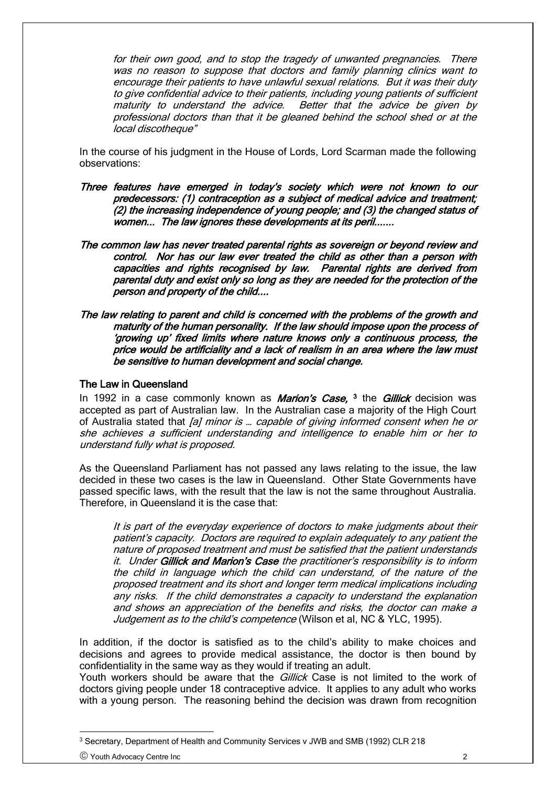for their own good, and to stop the tragedy of unwanted pregnancies. There was no reason to suppose that doctors and family planning clinics want to encourage their patients to have unlawful sexual relations. But it was their duty to give confidential advice to their patients, including young patients of sufficient<br>maturity to understand the advice. Better that the advice be given by Better that the advice be given by professional doctors than that it be gleaned behind the school shed or at the local discotheque"

In the course of his judgment in the House of Lords, Lord Scarman made the following observations:

- Three features have emerged in today's society which were not known to our predecessors: (1) contraception as a subject of medical advice and treatment; (2) the increasing independence of young people; and (3) the changed status of women... The law ignores these developments at its peril.......
- The common law has never treated parental rights as sovereign or beyond review and control. Nor has our law ever treated the child as other than a person with capacities and rights recognised by law. Parental rights are derived from parental duty and exist only so long as they are needed for the protection of the person and property of the child....
- The law relating to parent and child is concerned with the problems of the growth and maturity of the human personality. If the law should impose upon the process of 'growing up' fixed limits where nature knows only a continuous process, the price would be artificiality and a lack of realism in an area where the law must be sensitive to human development and social change.

## The Law in Queensland

In 1992 in a case commonly known as *Marion's Case*, <sup>3</sup> the *Gillick* decision was accepted as part of Australian law. In the Australian case a majority of the High Court of Australia stated that [a] minor is ... capable of giving informed consent when he or she achieves a sufficient understanding and intelligence to enable him or her to understand fully what is proposed.

As the Queensland Parliament has not passed any laws relating to the issue, the law decided in these two cases is the law in Queensland. Other State Governments have passed specific laws, with the result that the law is not the same throughout Australia. Therefore, in Queensland it is the case that:

It is part of the everyday experience of doctors to make judgments about their patient's capacity. Doctors are required to explain adequately to any patient the nature of proposed treatment and must be satisfied that the patient understands it. Under Gillick and Marion's Case the practitioner's responsibility is to inform the child in language which the child can understand, of the nature of the proposed treatment and its short and longer term medical implications including any risks. If the child demonstrates a capacity to understand the explanation and shows an appreciation of the benefits and risks, the doctor can make a Judgement as to the child's competence (Wilson et al, NC & YLC, 1995).

In addition, if the doctor is satisfied as to the child's ability to make choices and decisions and agrees to provide medical assistance, the doctor is then bound by confidentiality in the same way as they would if treating an adult.

Youth workers should be aware that the Gillick Case is not limited to the work of doctors giving people under 18 contraceptive advice. It applies to any adult who works with a young person. The reasoning behind the decision was drawn from recognition

<sup>3</sup> Secretary, Department of Health and Community Services v JWB and SMB (1992) CLR 218